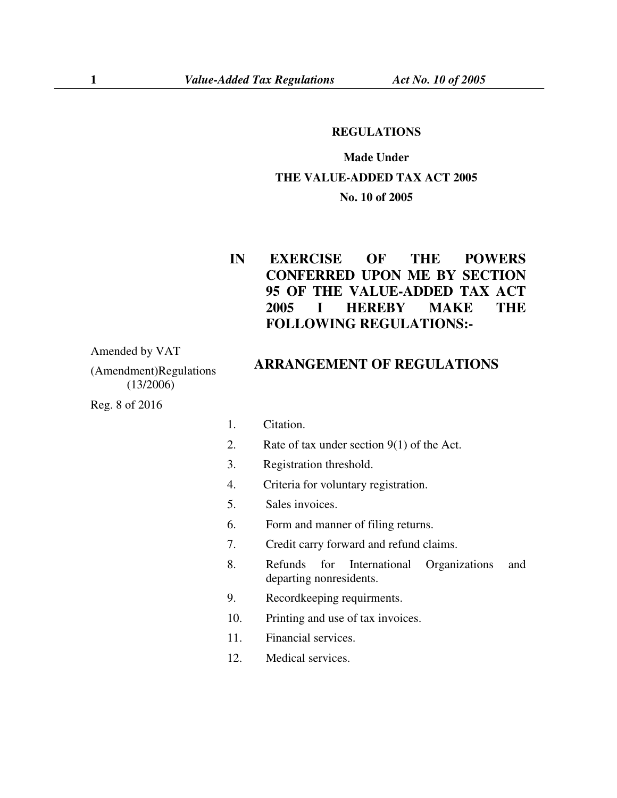## **REGULATIONS**

## **Made Under THE VALUE-ADDED TAX ACT 2005 No. 10 of 2005**

## **IN EXERCISE OF THE POWERS CONFERRED UPON ME BY SECTION 95 OF THE VALUE-ADDED TAX ACT 2005 I HEREBY MAKE THE FOLLOWING REGULATIONS:-**

Amended by VAT

(Amendment)Regulations (13/2006)

Reg. 8 of 2016

## **ARRANGEMENT OF REGULATIONS**

- 1. Citation.
- 2. Rate of tax under section 9(1) of the Act.
- 3. Registration threshold.
- 4. Criteria for voluntary registration.
- 5. Sales invoices.
- 6. Form and manner of filing returns.
- 7. Credit carry forward and refund claims.
- 8. Refunds for International Organizations and departing nonresidents.
- 9. Recordkeeping requirments.
- 10. Printing and use of tax invoices.
- 11. Financial services.
- 12. Medical services.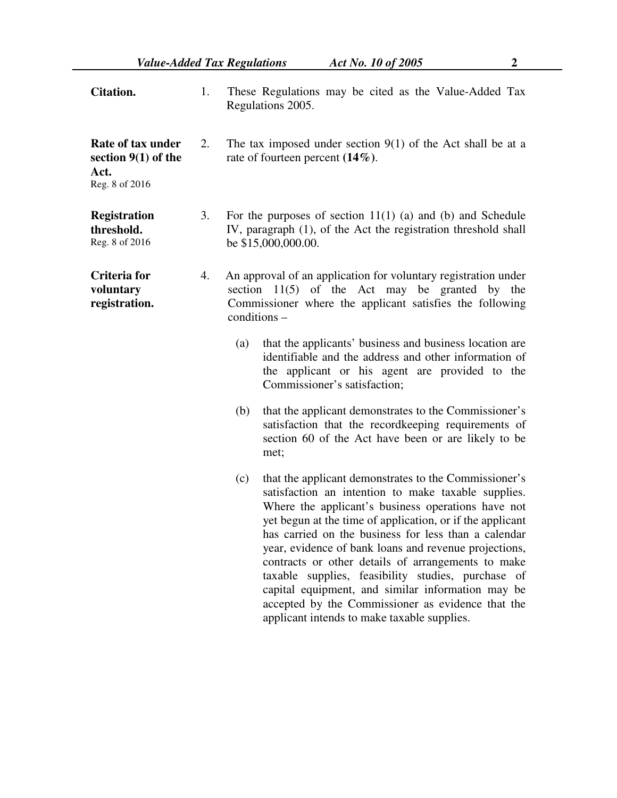| <b>Citation.</b>                                                     | 1. | These Regulations may be cited as the Value-Added Tax<br>Regulations 2005.                                                                                                                                                                                                                                                                                                                                                                                                                                                                                                                                                   |  |  |  |  |
|----------------------------------------------------------------------|----|------------------------------------------------------------------------------------------------------------------------------------------------------------------------------------------------------------------------------------------------------------------------------------------------------------------------------------------------------------------------------------------------------------------------------------------------------------------------------------------------------------------------------------------------------------------------------------------------------------------------------|--|--|--|--|
| Rate of tax under<br>section $9(1)$ of the<br>Act.<br>Reg. 8 of 2016 | 2. | The tax imposed under section $9(1)$ of the Act shall be at a<br>rate of fourteen percent $(14\%)$ .                                                                                                                                                                                                                                                                                                                                                                                                                                                                                                                         |  |  |  |  |
| <b>Registration</b><br>threshold.<br>Reg. 8 of 2016                  | 3. | For the purposes of section $11(1)$ (a) and (b) and Schedule<br>IV, paragraph (1), of the Act the registration threshold shall<br>be \$15,000,000.00.                                                                                                                                                                                                                                                                                                                                                                                                                                                                        |  |  |  |  |
| Criteria for<br>voluntary<br>registration.                           | 4. | An approval of an application for voluntary registration under<br>section $11(5)$ of the Act may be granted by the<br>Commissioner where the applicant satisfies the following<br>conditions -                                                                                                                                                                                                                                                                                                                                                                                                                               |  |  |  |  |
|                                                                      |    | that the applicants' business and business location are<br>(a)<br>identifiable and the address and other information of<br>the applicant or his agent are provided to the<br>Commissioner's satisfaction;                                                                                                                                                                                                                                                                                                                                                                                                                    |  |  |  |  |
|                                                                      |    | that the applicant demonstrates to the Commissioner's<br>(b)<br>satisfaction that the record keeping requirements of<br>section 60 of the Act have been or are likely to be<br>met;                                                                                                                                                                                                                                                                                                                                                                                                                                          |  |  |  |  |
|                                                                      |    | that the applicant demonstrates to the Commissioner's<br>(c)<br>satisfaction an intention to make taxable supplies.<br>Where the applicant's business operations have not<br>yet begun at the time of application, or if the applicant<br>has carried on the business for less than a calendar<br>year, evidence of bank loans and revenue projections,<br>contracts or other details of arrangements to make<br>taxable supplies, feasibility studies, purchase of<br>capital equipment, and similar information may be<br>accepted by the Commissioner as evidence that the<br>applicant intends to make taxable supplies. |  |  |  |  |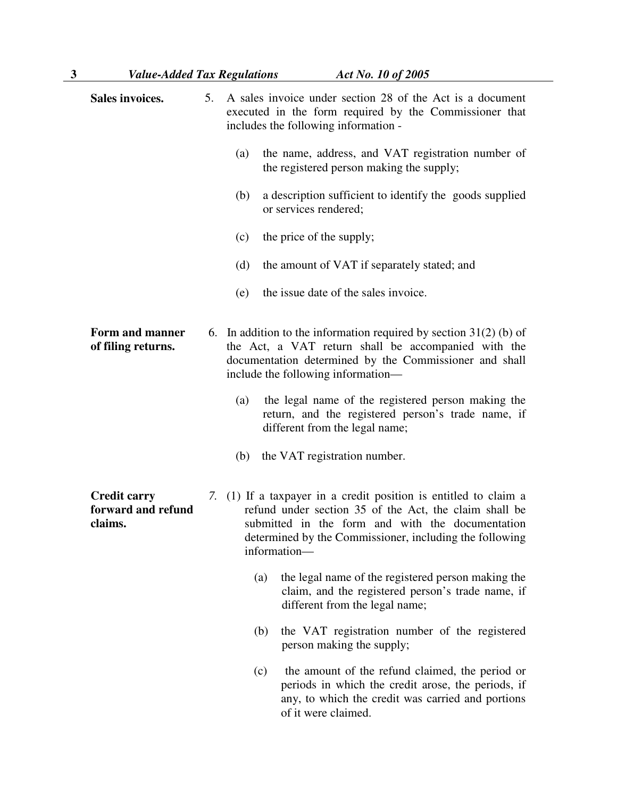| 3 | <b>Value-Added Tax Regulations</b>                   |    |                                                                                                                                                                                                                                                           | Act No. 10 of 2005                                                                                                                                                                |
|---|------------------------------------------------------|----|-----------------------------------------------------------------------------------------------------------------------------------------------------------------------------------------------------------------------------------------------------------|-----------------------------------------------------------------------------------------------------------------------------------------------------------------------------------|
|   | Sales invoices.                                      | 5. |                                                                                                                                                                                                                                                           | A sales invoice under section 28 of the Act is a document<br>executed in the form required by the Commissioner that<br>includes the following information -                       |
|   |                                                      |    | (a)                                                                                                                                                                                                                                                       | the name, address, and VAT registration number of<br>the registered person making the supply;                                                                                     |
|   |                                                      |    | (b)                                                                                                                                                                                                                                                       | a description sufficient to identify the goods supplied<br>or services rendered;                                                                                                  |
|   |                                                      |    | (c)                                                                                                                                                                                                                                                       | the price of the supply;                                                                                                                                                          |
|   |                                                      |    | (d)                                                                                                                                                                                                                                                       | the amount of VAT if separately stated; and                                                                                                                                       |
|   |                                                      |    | (e)                                                                                                                                                                                                                                                       | the issue date of the sales invoice.                                                                                                                                              |
|   | Form and manner<br>of filing returns.                |    | 6. In addition to the information required by section $31(2)$ (b) of<br>the Act, a VAT return shall be accompanied with the<br>documentation determined by the Commissioner and shall<br>include the following information—                               |                                                                                                                                                                                   |
|   |                                                      |    | (a)                                                                                                                                                                                                                                                       | the legal name of the registered person making the<br>return, and the registered person's trade name, if<br>different from the legal name;                                        |
|   |                                                      |    | (b)                                                                                                                                                                                                                                                       | the VAT registration number.                                                                                                                                                      |
|   | <b>Credit carry</b><br>forward and refund<br>claims. |    | 7. (1) If a taxpayer in a credit position is entitled to claim a<br>refund under section 35 of the Act, the claim shall be<br>submitted in the form and with the documentation<br>determined by the Commissioner, including the following<br>information- |                                                                                                                                                                                   |
|   |                                                      |    | (a)                                                                                                                                                                                                                                                       | the legal name of the registered person making the<br>claim, and the registered person's trade name, if<br>different from the legal name;                                         |
|   |                                                      |    | (b)                                                                                                                                                                                                                                                       | the VAT registration number of the registered<br>person making the supply;                                                                                                        |
|   |                                                      |    | (c)                                                                                                                                                                                                                                                       | the amount of the refund claimed, the period or<br>periods in which the credit arose, the periods, if<br>any, to which the credit was carried and portions<br>of it were claimed. |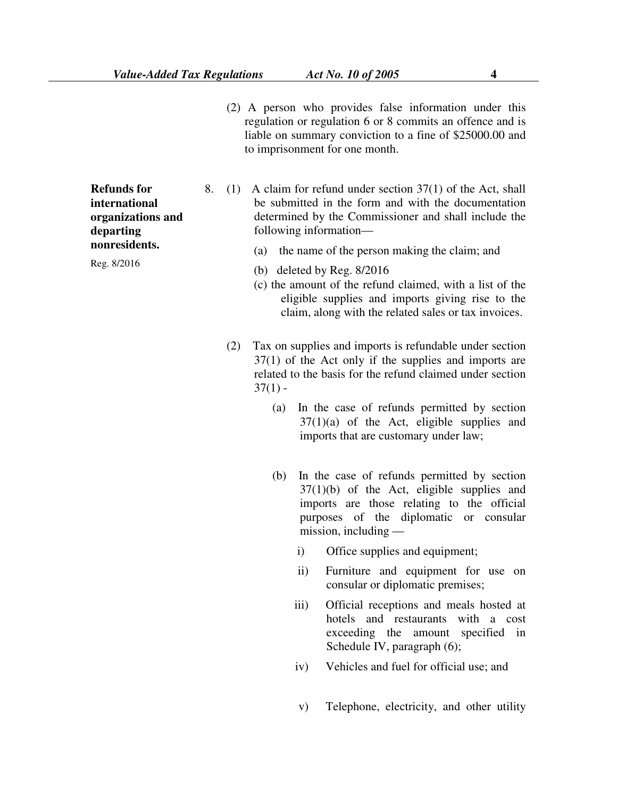(2) A person who provides false information under this regulation or regulation 6 or 8 commits an offence and is liable on summary conviction to a fine of \$25000.00 and to imprisonment for one month.

8. (1) A claim for refund under section 37(1) of the Act, shall be submitted in the form and with the documentation determined by the Commissioner and shall include the following information—

- (a) the name of the person making the claim; and
- (b) deleted by Reg. 8/2016
- (c) the amount of the refund claimed, with a list of the eligible supplies and imports giving rise to the claim, along with the related sales or tax invoices.
- (2) Tax on supplies and imports is refundable under section 37(1) of the Act only if the supplies and imports are related to the basis for the refund claimed under section  $37(1)$  -
	- (a) In the case of refunds permitted by section  $37(1)(a)$  of the Act, eligible supplies and imports that are customary under law;
	- (b) In the case of refunds permitted by section  $37(1)(b)$  of the Act, eligible supplies and imports are those relating to the official purposes of the diplomatic or consular mission, including
		- i) Office supplies and equipment;
		- ii) Furniture and equipment for use on consular or diplomatic premises;
		- iii) Official receptions and meals hosted at hotels and restaurants with a cost exceeding the amount specified in Schedule IV, paragraph (6);
		- iv) Vehicles and fuel for official use; and
		- v) Telephone, electricity, and other utility

**Refunds for international organizations and departing nonresidents.** 

Reg. 8/2016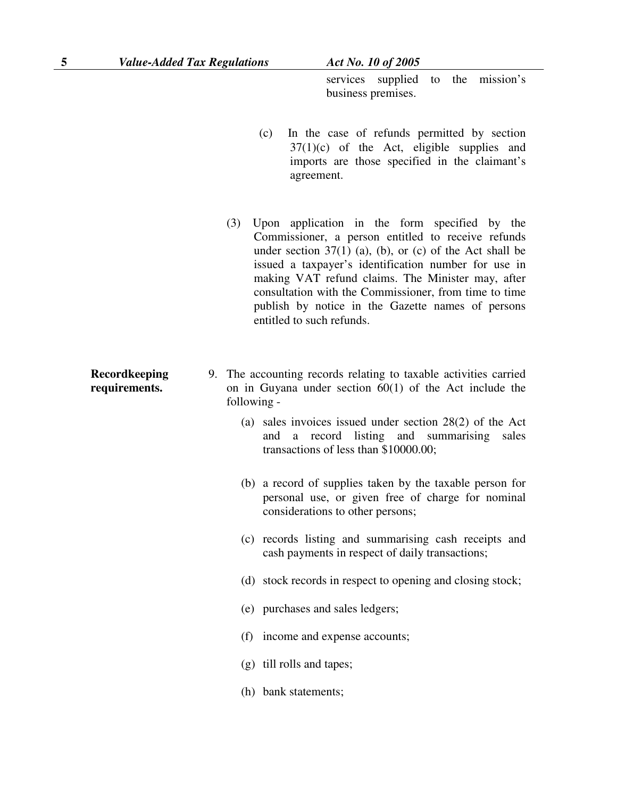**Recordkeeping requirements.** 

services supplied to the mission's business premises.

- (c) In the case of refunds permitted by section  $37(1)(c)$  of the Act, eligible supplies and imports are those specified in the claimant's agreement.
- (3) Upon application in the form specified by the Commissioner, a person entitled to receive refunds under section  $37(1)$  (a), (b), or (c) of the Act shall be issued a taxpayer's identification number for use in making VAT refund claims. The Minister may, after consultation with the Commissioner, from time to time publish by notice in the Gazette names of persons entitled to such refunds.
- 9. The accounting records relating to taxable activities carried on in Guyana under section 60(1) of the Act include the following -
	- (a) sales invoices issued under section 28(2) of the Act and a record listing and summarising sales transactions of less than \$10000.00;
	- (b) a record of supplies taken by the taxable person for personal use, or given free of charge for nominal considerations to other persons;
	- (c) records listing and summarising cash receipts and cash payments in respect of daily transactions;
	- (d) stock records in respect to opening and closing stock;
	- (e) purchases and sales ledgers;
	- (f) income and expense accounts;
	- (g) till rolls and tapes;
	- (h) bank statements;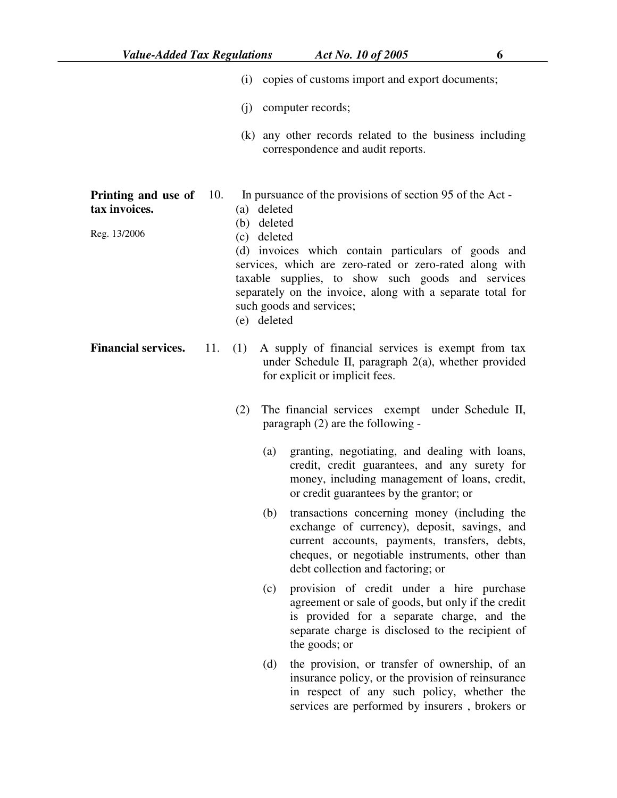|                                                      |     |                                                                                                                                                                                                                                                                                                                                                                                        |                                                                                                                                               | (i) copies of customs import and export documents;                                                                                                                                                                                   |  |
|------------------------------------------------------|-----|----------------------------------------------------------------------------------------------------------------------------------------------------------------------------------------------------------------------------------------------------------------------------------------------------------------------------------------------------------------------------------------|-----------------------------------------------------------------------------------------------------------------------------------------------|--------------------------------------------------------------------------------------------------------------------------------------------------------------------------------------------------------------------------------------|--|
|                                                      |     |                                                                                                                                                                                                                                                                                                                                                                                        |                                                                                                                                               | (j) computer records;                                                                                                                                                                                                                |  |
|                                                      |     |                                                                                                                                                                                                                                                                                                                                                                                        |                                                                                                                                               | (k) any other records related to the business including<br>correspondence and audit reports.                                                                                                                                         |  |
| Printing and use of<br>tax invoices.<br>Reg. 13/2006 | 10. | In pursuance of the provisions of section 95 of the Act -<br>(a) deleted<br>(b) deleted<br>(c) deleted<br>(d) invoices which contain particulars of goods and<br>services, which are zero-rated or zero-rated along with<br>taxable supplies, to show such goods and services<br>separately on the invoice, along with a separate total for<br>such goods and services;<br>(e) deleted |                                                                                                                                               |                                                                                                                                                                                                                                      |  |
| <b>Financial services.</b>                           | 11. | (1)                                                                                                                                                                                                                                                                                                                                                                                    | A supply of financial services is exempt from tax<br>under Schedule II, paragraph $2(a)$ , whether provided<br>for explicit or implicit fees. |                                                                                                                                                                                                                                      |  |
|                                                      |     | (2)                                                                                                                                                                                                                                                                                                                                                                                    | The financial services exempt under Schedule II,<br>paragraph (2) are the following -                                                         |                                                                                                                                                                                                                                      |  |
|                                                      |     |                                                                                                                                                                                                                                                                                                                                                                                        | (a)                                                                                                                                           | granting, negotiating, and dealing with loans,<br>credit, credit guarantees, and any surety for<br>money, including management of loans, credit,<br>or credit guarantees by the grantor; or                                          |  |
|                                                      |     |                                                                                                                                                                                                                                                                                                                                                                                        | (b)                                                                                                                                           | transactions concerning money (including the<br>exchange of currency), deposit, savings, and<br>current accounts, payments, transfers, debts,<br>cheques, or negotiable instruments, other than<br>debt collection and factoring; or |  |
|                                                      |     |                                                                                                                                                                                                                                                                                                                                                                                        | (c)                                                                                                                                           | provision of credit under a hire purchase<br>agreement or sale of goods, but only if the credit<br>is provided for a separate charge, and the<br>separate charge is disclosed to the recipient of<br>the goods; or                   |  |
|                                                      |     |                                                                                                                                                                                                                                                                                                                                                                                        | (d)                                                                                                                                           | the provision, or transfer of ownership, of an<br>insurance policy, or the provision of reinsurance<br>in respect of any such policy, whether the<br>services are performed by insurers, brokers or                                  |  |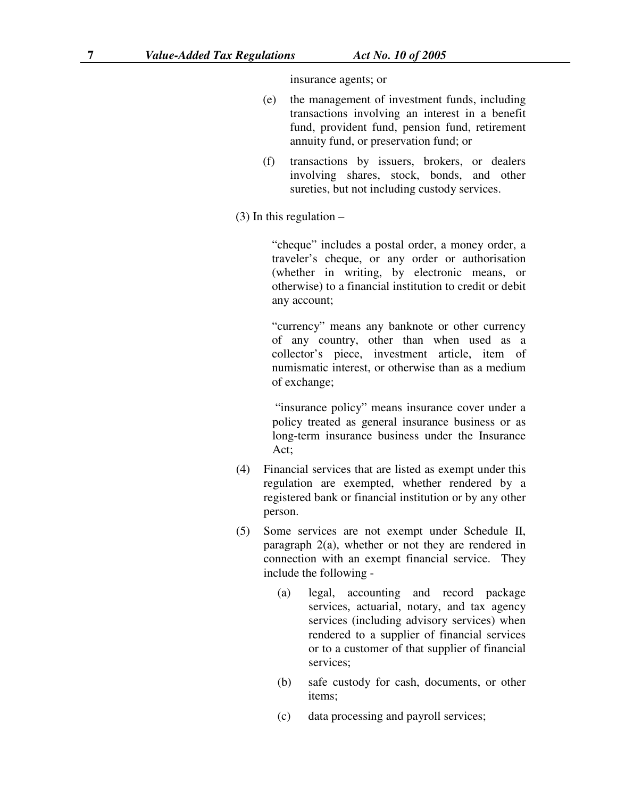insurance agents; or

- (e) the management of investment funds, including transactions involving an interest in a benefit fund, provident fund, pension fund, retirement annuity fund, or preservation fund; or
- (f) transactions by issuers, brokers, or dealers involving shares, stock, bonds, and other sureties, but not including custody services.
- $(3)$  In this regulation –

"cheque" includes a postal order, a money order, a traveler's cheque, or any order or authorisation (whether in writing, by electronic means, or otherwise) to a financial institution to credit or debit any account;

"currency" means any banknote or other currency of any country, other than when used as a collector's piece, investment article, item of numismatic interest, or otherwise than as a medium of exchange;

 "insurance policy" means insurance cover under a policy treated as general insurance business or as long-term insurance business under the Insurance Act;

- (4) Financial services that are listed as exempt under this regulation are exempted, whether rendered by a registered bank or financial institution or by any other person.
- (5) Some services are not exempt under Schedule II, paragraph 2(a), whether or not they are rendered in connection with an exempt financial service. They include the following -
	- (a) legal, accounting and record package services, actuarial, notary, and tax agency services (including advisory services) when rendered to a supplier of financial services or to a customer of that supplier of financial services;
	- (b) safe custody for cash, documents, or other items;
	- (c) data processing and payroll services;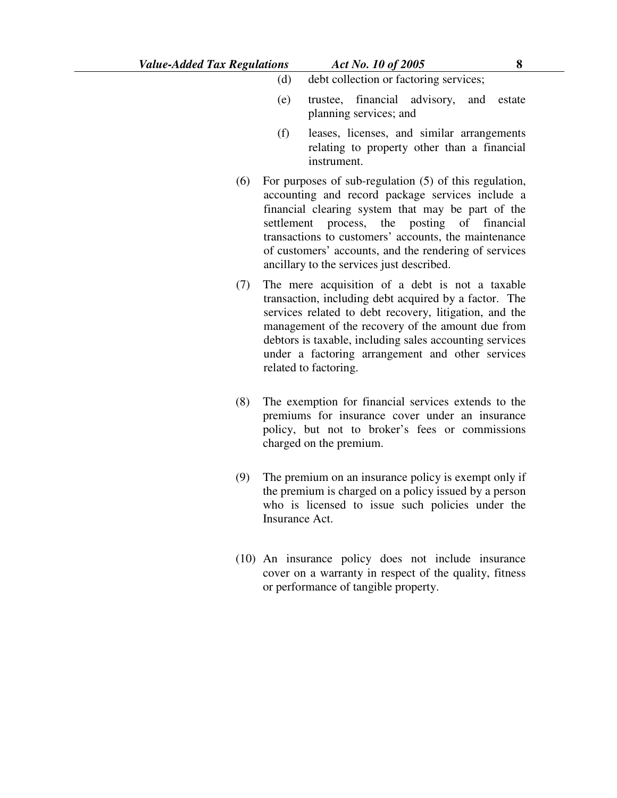- (e) trustee, financial advisory, and estate planning services; and
- (f) leases, licenses, and similar arrangements relating to property other than a financial instrument.
- (6) For purposes of sub-regulation (5) of this regulation, accounting and record package services include a financial clearing system that may be part of the settlement process, the posting of financial transactions to customers' accounts, the maintenance of customers' accounts, and the rendering of services ancillary to the services just described.
- (7) The mere acquisition of a debt is not a taxable transaction, including debt acquired by a factor. The services related to debt recovery, litigation, and the management of the recovery of the amount due from debtors is taxable, including sales accounting services under a factoring arrangement and other services related to factoring.
- (8) The exemption for financial services extends to the premiums for insurance cover under an insurance policy, but not to broker's fees or commissions charged on the premium.
- (9) The premium on an insurance policy is exempt only if the premium is charged on a policy issued by a person who is licensed to issue such policies under the Insurance Act.
- (10) An insurance policy does not include insurance cover on a warranty in respect of the quality, fitness or performance of tangible property.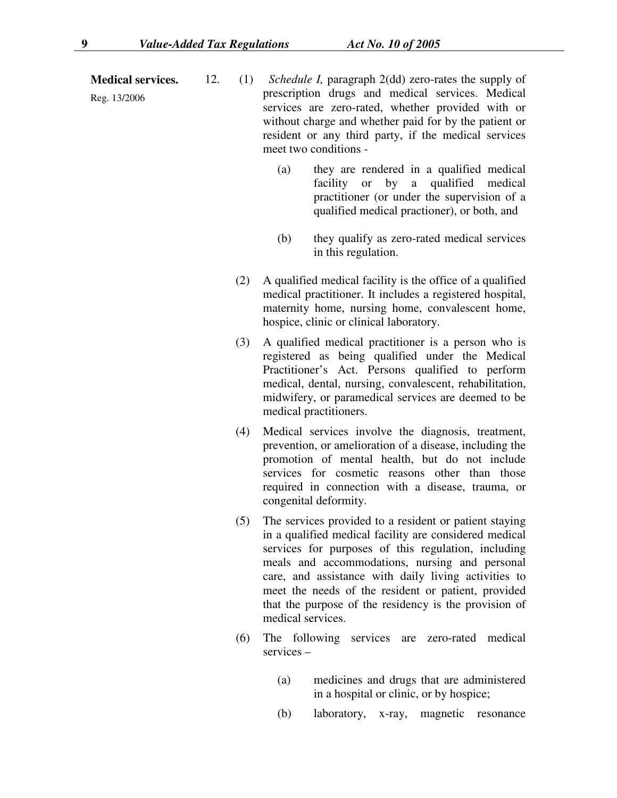**Medical services.** 

Reg. 13/2006

- 12. (1) *Schedule I,* paragraph 2(dd) zero-rates the supply of prescription drugs and medical services. Medical services are zero-rated, whether provided with or without charge and whether paid for by the patient or resident or any third party, if the medical services meet two conditions -
	- (a) they are rendered in a qualified medical facility or by a qualified medical practitioner (or under the supervision of a qualified medical practioner), or both, and
	- (b) they qualify as zero-rated medical services in this regulation.
	- (2) A qualified medical facility is the office of a qualified medical practitioner. It includes a registered hospital, maternity home, nursing home, convalescent home, hospice, clinic or clinical laboratory.
	- (3) A qualified medical practitioner is a person who is registered as being qualified under the Medical Practitioner's Act. Persons qualified to perform medical, dental, nursing, convalescent, rehabilitation, midwifery, or paramedical services are deemed to be medical practitioners.
	- (4) Medical services involve the diagnosis, treatment, prevention, or amelioration of a disease, including the promotion of mental health, but do not include services for cosmetic reasons other than those required in connection with a disease, trauma, or congenital deformity.
	- (5) The services provided to a resident or patient staying in a qualified medical facility are considered medical services for purposes of this regulation, including meals and accommodations, nursing and personal care, and assistance with daily living activities to meet the needs of the resident or patient, provided that the purpose of the residency is the provision of medical services.
	- (6) The following services are zero-rated medical services –
		- (a) medicines and drugs that are administered in a hospital or clinic, or by hospice;
		- (b) laboratory, x-ray, magnetic resonance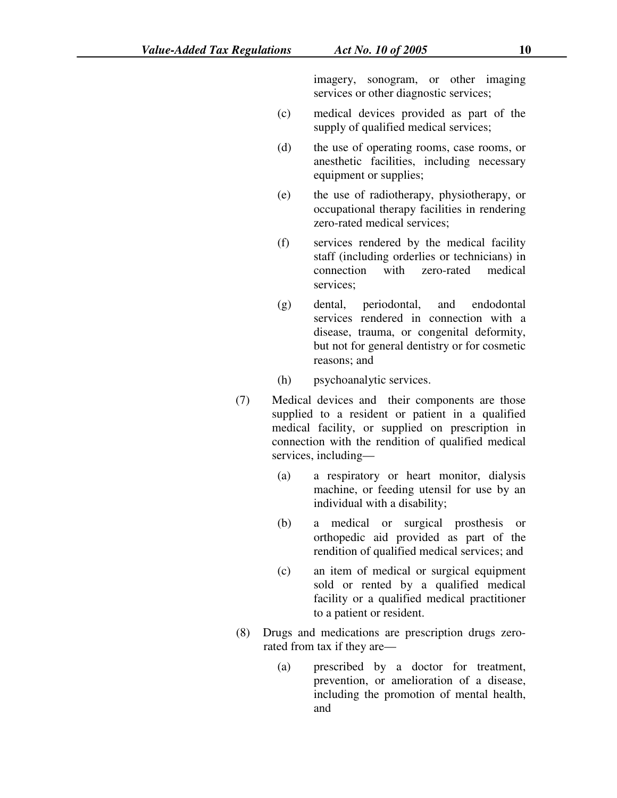imagery, sonogram, or other imaging services or other diagnostic services;

- (c) medical devices provided as part of the supply of qualified medical services;
- (d) the use of operating rooms, case rooms, or anesthetic facilities, including necessary equipment or supplies;
- (e) the use of radiotherapy, physiotherapy, or occupational therapy facilities in rendering zero-rated medical services;
- (f) services rendered by the medical facility staff (including orderlies or technicians) in connection with zero-rated medical services;
- (g) dental, periodontal, and endodontal services rendered in connection with a disease, trauma, or congenital deformity, but not for general dentistry or for cosmetic reasons; and
- (h) psychoanalytic services.
- (7) Medical devices and their components are those supplied to a resident or patient in a qualified medical facility, or supplied on prescription in connection with the rendition of qualified medical services, including—
	- (a) a respiratory or heart monitor, dialysis machine, or feeding utensil for use by an individual with a disability;
	- (b) a medical or surgical prosthesis or orthopedic aid provided as part of the rendition of qualified medical services; and
	- (c) an item of medical or surgical equipment sold or rented by a qualified medical facility or a qualified medical practitioner to a patient or resident.
- (8) Drugs and medications are prescription drugs zerorated from tax if they are—
	- (a) prescribed by a doctor for treatment, prevention, or amelioration of a disease, including the promotion of mental health, and